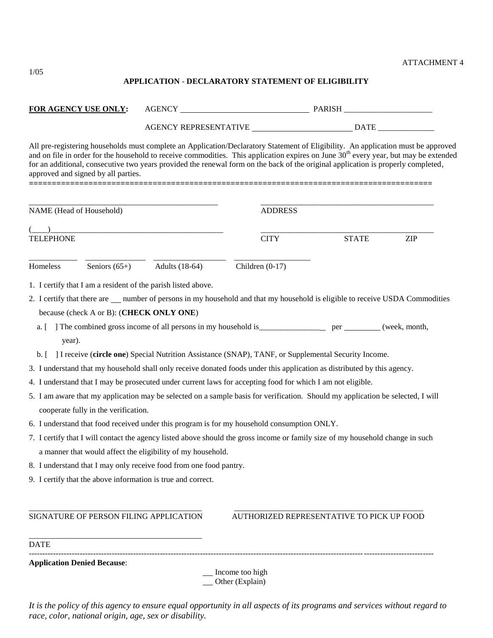## ATTACHMENT 4

## **APPLICATION** - **DECLARATORY STATEMENT OF ELIGIBILITY**

| FOR AGENCY USE ONLY: |                                          |                                                                    |                                                                                                                                                                                                                                                                                                                                                                                                                            |                                           |            |  |
|----------------------|------------------------------------------|--------------------------------------------------------------------|----------------------------------------------------------------------------------------------------------------------------------------------------------------------------------------------------------------------------------------------------------------------------------------------------------------------------------------------------------------------------------------------------------------------------|-------------------------------------------|------------|--|
|                      |                                          |                                                                    |                                                                                                                                                                                                                                                                                                                                                                                                                            |                                           |            |  |
|                      | approved and signed by all parties.      |                                                                    | All pre-registering households must complete an Application/Declaratory Statement of Eligibility. An application must be approved<br>and on file in order for the household to receive commodities. This application expires on June 30 <sup>th</sup> every year, but may be extended<br>for an additional, consecutive two years provided the renewal form on the back of the original application is properly completed, |                                           |            |  |
|                      | NAME (Head of Household)                 |                                                                    | <b>ADDRESS</b>                                                                                                                                                                                                                                                                                                                                                                                                             |                                           |            |  |
| <b>TELEPHONE</b>     |                                          |                                                                    | <b>CITY</b>                                                                                                                                                                                                                                                                                                                                                                                                                | <b>STATE</b>                              | <b>ZIP</b> |  |
| Homeless             | Seniors $(65+)$                          | <b>Adults</b> (18-64)                                              | Children $(0-17)$                                                                                                                                                                                                                                                                                                                                                                                                          |                                           |            |  |
|                      |                                          | 1. I certify that I am a resident of the parish listed above.      |                                                                                                                                                                                                                                                                                                                                                                                                                            |                                           |            |  |
|                      |                                          |                                                                    | 2. I certify that there are __ number of persons in my household and that my household is eligible to receive USDA Commodities                                                                                                                                                                                                                                                                                             |                                           |            |  |
|                      | because (check A or B): (CHECK ONLY ONE) |                                                                    |                                                                                                                                                                                                                                                                                                                                                                                                                            |                                           |            |  |
|                      |                                          |                                                                    |                                                                                                                                                                                                                                                                                                                                                                                                                            |                                           |            |  |
| year).               |                                          |                                                                    |                                                                                                                                                                                                                                                                                                                                                                                                                            |                                           |            |  |
|                      |                                          |                                                                    | b. [ ] I receive (circle one) Special Nutrition Assistance (SNAP), TANF, or Supplemental Security Income.                                                                                                                                                                                                                                                                                                                  |                                           |            |  |
|                      |                                          |                                                                    | 3. I understand that my household shall only receive donated foods under this application as distributed by this agency.<br>4. I understand that I may be prosecuted under current laws for accepting food for which I am not eligible.                                                                                                                                                                                    |                                           |            |  |
|                      | cooperate fully in the verification.     |                                                                    | 5. I am aware that my application may be selected on a sample basis for verification. Should my application be selected, I will                                                                                                                                                                                                                                                                                            |                                           |            |  |
|                      |                                          |                                                                    | 6. I understand that food received under this program is for my household consumption ONLY.                                                                                                                                                                                                                                                                                                                                |                                           |            |  |
|                      |                                          | a manner that would affect the eligibility of my household.        | 7. I certify that I will contact the agency listed above should the gross income or family size of my household change in such                                                                                                                                                                                                                                                                                             |                                           |            |  |
|                      |                                          | 8. I understand that I may only receive food from one food pantry. |                                                                                                                                                                                                                                                                                                                                                                                                                            |                                           |            |  |
|                      |                                          | 9. I certify that the above information is true and correct.       |                                                                                                                                                                                                                                                                                                                                                                                                                            |                                           |            |  |
|                      |                                          | SIGNATURE OF PERSON FILING APPLICATION                             |                                                                                                                                                                                                                                                                                                                                                                                                                            | AUTHORIZED REPRESENTATIVE TO PICK UP FOOD |            |  |
| <b>DATE</b>          |                                          |                                                                    |                                                                                                                                                                                                                                                                                                                                                                                                                            |                                           |            |  |
|                      | <b>Application Denied Because:</b>       |                                                                    |                                                                                                                                                                                                                                                                                                                                                                                                                            |                                           |            |  |
|                      |                                          |                                                                    | Income too high<br>Other (Explain)                                                                                                                                                                                                                                                                                                                                                                                         |                                           |            |  |

*It is the policy of this agency to ensure equal opportunity in all aspects of its programs and services without regard to race, color, national origin, age, sex or disability.*